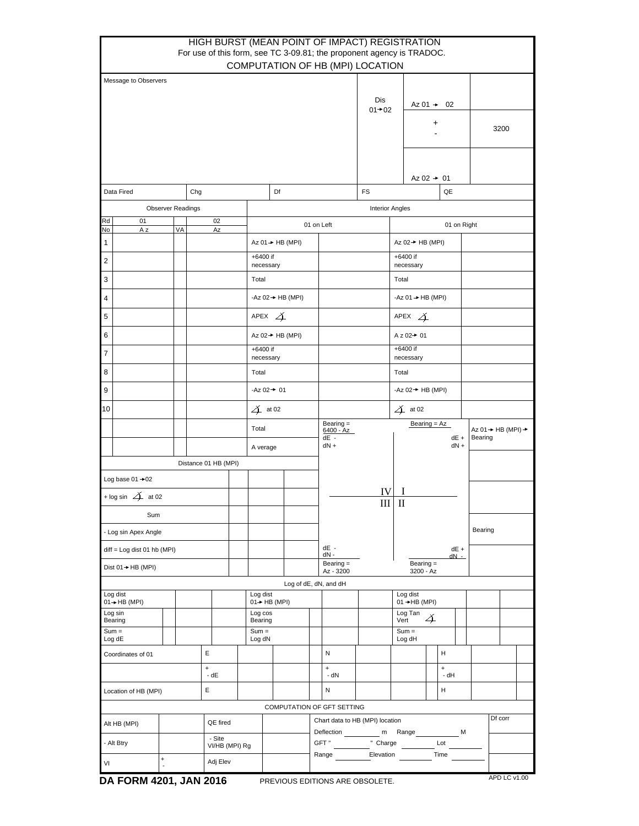|                                                |                             |  |  |  |                      |  |                                       |                         |                                                          |                                           | HIGH BURST (MEAN POINT OF IMPACT) REGISTRATION<br>For use of this form, see TC 3-09.81; the proponent agency is TRADOC. |                               |                   |                          |                   |             |                                                       |         |              |  |  |
|------------------------------------------------|-----------------------------|--|--|--|----------------------|--|---------------------------------------|-------------------------|----------------------------------------------------------|-------------------------------------------|-------------------------------------------------------------------------------------------------------------------------|-------------------------------|-------------------|--------------------------|-------------------|-------------|-------------------------------------------------------|---------|--------------|--|--|
|                                                |                             |  |  |  |                      |  |                                       |                         |                                                          |                                           | COMPUTATION OF HB (MPI) LOCATION                                                                                        |                               |                   |                          |                   |             |                                                       |         |              |  |  |
| Message to Observers                           |                             |  |  |  |                      |  |                                       |                         |                                                          |                                           |                                                                                                                         | Dis<br>$01 + 02$              | Az $01 + 02$<br>+ |                          |                   |             | 3200                                                  |         |              |  |  |
|                                                |                             |  |  |  |                      |  |                                       |                         |                                                          |                                           |                                                                                                                         |                               |                   | Az $02 \rightarrow 01$   |                   |             |                                                       |         |              |  |  |
| Data Fired<br>Chg                              |                             |  |  |  |                      |  |                                       |                         | Df                                                       |                                           |                                                                                                                         | <b>FS</b>                     |                   |                          |                   | QE          |                                                       |         |              |  |  |
| <b>Observer Readings</b>                       |                             |  |  |  |                      |  |                                       |                         |                                                          |                                           |                                                                                                                         | <b>Interior Angles</b>        |                   |                          |                   |             |                                                       |         |              |  |  |
| Rd<br>No                                       | 01<br>02<br>A z<br>VA<br>Az |  |  |  |                      |  |                                       |                         |                                                          | 01 on Left                                |                                                                                                                         |                               |                   |                          |                   | 01 on Right |                                                       |         |              |  |  |
| 1                                              |                             |  |  |  |                      |  |                                       |                         | Az $01 \rightarrow HB$ (MPI)                             |                                           |                                                                                                                         |                               |                   | Az 02 → HB (MPI)         |                   |             |                                                       |         |              |  |  |
| $\overline{2}$                                 |                             |  |  |  |                      |  |                                       | +6400 if<br>necessary   |                                                          |                                           |                                                                                                                         | $+6400$ if<br>necessary       |                   |                          |                   |             |                                                       |         |              |  |  |
| 3                                              |                             |  |  |  |                      |  | Total                                 |                         |                                                          |                                           |                                                                                                                         | Total                         |                   |                          |                   |             |                                                       |         |              |  |  |
| 4                                              |                             |  |  |  |                      |  |                                       |                         | -Az $02 \rightarrow HB$ (MPI)                            |                                           |                                                                                                                         | -Az $01 \rightarrow HB$ (MPI) |                   |                          |                   |             |                                                       |         |              |  |  |
| 5                                              |                             |  |  |  |                      |  |                                       | APEX $\cancel{\Delta}$  |                                                          |                                           |                                                                                                                         |                               |                   | APEX $\cancel{\Delta}$   |                   |             |                                                       |         |              |  |  |
| 6                                              |                             |  |  |  |                      |  |                                       |                         | Az 02→ HB (MPI)                                          |                                           |                                                                                                                         | A z 02→ 01                    |                   |                          |                   |             |                                                       |         |              |  |  |
| 7                                              |                             |  |  |  |                      |  |                                       | +6400 if<br>necessary   |                                                          |                                           |                                                                                                                         |                               |                   | +6400 if<br>necessary    |                   |             |                                                       |         |              |  |  |
| 8                                              |                             |  |  |  |                      |  |                                       | Total                   |                                                          |                                           |                                                                                                                         |                               |                   | Total                    |                   |             |                                                       |         |              |  |  |
| 9                                              |                             |  |  |  |                      |  |                                       | $-Az$ 02 $+$ 01         |                                                          |                                           |                                                                                                                         | -Az $02 \rightarrow HB$ (MPI) |                   |                          |                   |             |                                                       |         |              |  |  |
| 10                                             |                             |  |  |  |                      |  |                                       | $\cancel{\Delta}$ at 02 |                                                          |                                           |                                                                                                                         |                               |                   | $\Delta$ at 02           |                   |             |                                                       |         |              |  |  |
|                                                |                             |  |  |  |                      |  |                                       | Total                   |                                                          |                                           | Bearing =<br>$6400 - Az$<br>dE -                                                                                        | Bearing = Az<br>dE +          |                   |                          |                   |             | Az $01 \rightarrow HB (MPI)$ $\rightarrow$<br>Bearing |         |              |  |  |
|                                                |                             |  |  |  |                      |  |                                       | A verage                |                                                          |                                           | $dN +$                                                                                                                  |                               | $dN +$            |                          |                   |             |                                                       |         |              |  |  |
|                                                |                             |  |  |  | Distance 01 HB (MPI) |  |                                       |                         |                                                          |                                           |                                                                                                                         |                               |                   |                          |                   |             |                                                       |         |              |  |  |
| Log base $01 + 02$<br>+ log sin $\Delta$ at 02 |                             |  |  |  |                      |  |                                       |                         |                                                          |                                           |                                                                                                                         | IV                            |                   |                          |                   |             |                                                       |         |              |  |  |
| Sum                                            |                             |  |  |  |                      |  |                                       |                         |                                                          |                                           |                                                                                                                         | Ш                             | $\mathbf{I}$      |                          |                   |             |                                                       |         |              |  |  |
| - Log sin Apex Angle                           |                             |  |  |  |                      |  |                                       |                         |                                                          |                                           |                                                                                                                         |                               |                   |                          |                   |             |                                                       | Bearing |              |  |  |
| diff = Log dist 01 hb (MPI)                    |                             |  |  |  |                      |  |                                       |                         |                                                          |                                           | dE -                                                                                                                    |                               | $dE +$<br>$dN -$  |                          |                   |             |                                                       |         |              |  |  |
| Dist $01 \rightarrow HB$ (MPI)                 |                             |  |  |  |                      |  |                                       |                         |                                                          |                                           | dN -<br>Bearing $=$<br>Az - 3200                                                                                        |                               |                   | Bearing $=$<br>3200 - Az |                   |             |                                                       |         |              |  |  |
|                                                |                             |  |  |  |                      |  |                                       |                         |                                                          |                                           | Log of dE, dN, and dH                                                                                                   |                               |                   |                          |                   |             |                                                       |         |              |  |  |
| Log dist<br>$01 \rightarrow HB (MPI)$          |                             |  |  |  |                      |  | Log dist<br>$01 \rightarrow HB$ (MPI) |                         |                                                          |                                           | Log dist<br>$01 \rightarrow HB (MPI)$                                                                                   |                               |                   |                          |                   |             |                                                       |         |              |  |  |
| Log sin<br>Bearing                             |                             |  |  |  | Log cos<br>Bearing   |  |                                       |                         |                                                          | Vert                                      | Log Tan                                                                                                                 | Ă                             |                   |                          |                   |             |                                                       |         |              |  |  |
| $Sum =$<br>Log dE                              |                             |  |  |  | $Sum =$<br>Log dN    |  |                                       |                         |                                                          | $Sum =$<br>Log dH                         |                                                                                                                         |                               |                   |                          |                   |             |                                                       |         |              |  |  |
| E<br>Coordinates of 01                         |                             |  |  |  |                      |  |                                       |                         |                                                          |                                           | N                                                                                                                       |                               |                   |                          |                   | н           |                                                       |         |              |  |  |
| $\ddot{}$<br>$-dE$                             |                             |  |  |  |                      |  |                                       |                         |                                                          | $\ddot{}$<br>- dN                         |                                                                                                                         |                               |                   |                          | $\ddot{}$<br>- dH |             |                                                       |         |              |  |  |
| E<br>Location of HB (MPI)                      |                             |  |  |  |                      |  |                                       |                         |                                                          | N                                         |                                                                                                                         |                               |                   |                          | н                 |             |                                                       |         |              |  |  |
|                                                |                             |  |  |  |                      |  |                                       |                         |                                                          |                                           | COMPUTATION OF GFT SETTING                                                                                              |                               |                   |                          |                   |             |                                                       |         |              |  |  |
| QE fired<br>Alt HB (MPI)                       |                             |  |  |  |                      |  |                                       |                         | Chart data to HB (MPI) location<br>Deflection<br><u></u> | m Range ______________ M                  |                                                                                                                         |                               |                   |                          |                   | Df corr     |                                                       |         |              |  |  |
| - Site<br>- Alt Btry<br>VI/HB (MPI) Rg         |                             |  |  |  |                      |  |                                       |                         |                                                          | GFT" __________ " Charge _________ Lot __ |                                                                                                                         |                               |                   |                          |                   |             |                                                       |         |              |  |  |
| $\ddot{}$<br>Adj Elev<br>VI                    |                             |  |  |  |                      |  |                                       |                         |                                                          |                                           | Range                                                                                                                   | Elevation                     |                   |                          |                   | Time        |                                                       |         |              |  |  |
|                                                | DA FORM 4201, JAN 2016      |  |  |  |                      |  |                                       |                         |                                                          |                                           | PREVIOUS EDITIONS ARE OBSOLETE.                                                                                         |                               |                   |                          |                   |             |                                                       |         | APD LC v1.00 |  |  |